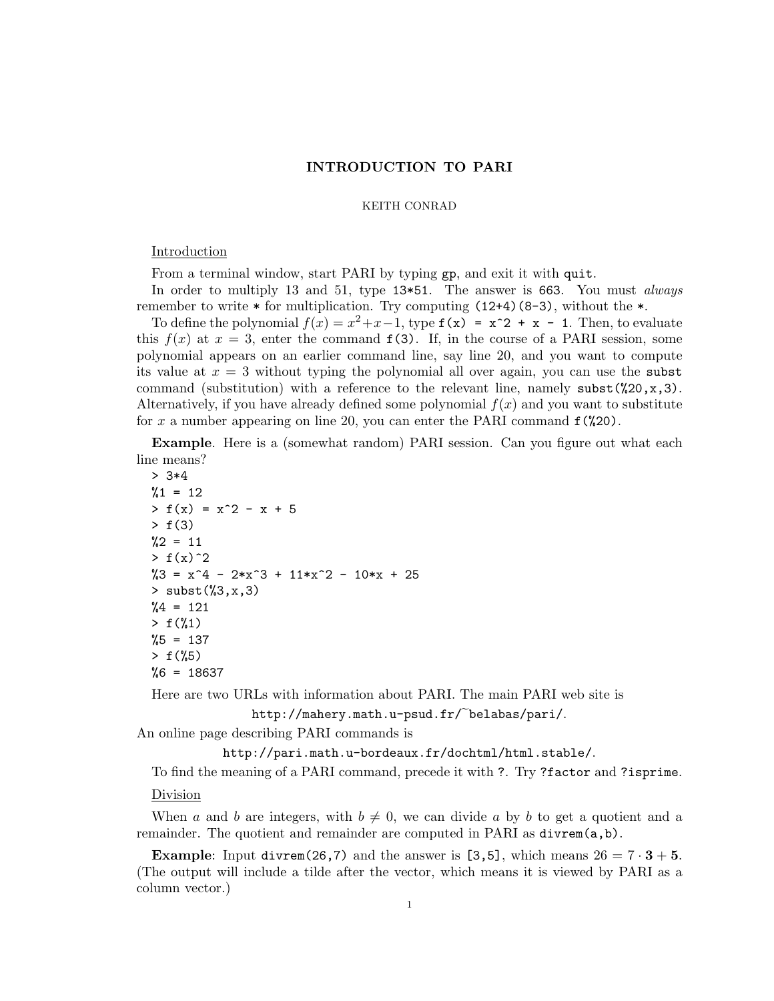# INTRODUCTION TO PARI

#### KEITH CONRAD

## Introduction

From a terminal window, start PARI by typing gp, and exit it with quit.

In order to multiply 13 and 51, type 13 $*51$ . The answer is 663. You must *always* remember to write  $*$  for multiplication. Try computing  $(12+4)(8-3)$ , without the  $*$ .

To define the polynomial  $f(x) = x^2 + x - 1$ , type  $f(x) = x^2 + x - 1$ . Then, to evaluate this  $f(x)$  at  $x = 3$ , enter the command  $f(3)$ . If, in the course of a PARI session, some polynomial appears on an earlier command line, say line 20, and you want to compute its value at  $x = 3$  without typing the polynomial all over again, you can use the subst command (substitution) with a reference to the relevant line, namely  $\text{subst}(\text{20},x,3)$ . Alternatively, if you have already defined some polynomial  $f(x)$  and you want to substitute for x a number appearing on line 20, you can enter the PARI command  $f(\frac{20}{20})$ .

Example. Here is a (somewhat random) PARI session. Can you figure out what each line means?

```
> 3*4
%1 = 12> f(x) = x^2 - x + 5> f(3)
\frac{9}{2} = 11> f(x)^2\%3 = x^4 - 2*x^3 + 11*x^2 - 10*x + 25> subst(\frac{6}{3}, x, 3)\%4 = 121> f(\%1)%5 = 137> f(%5)
%6 = 18637
```
Here are two URLs with information about PARI. The main PARI web site is http://mahery.math.u-psud.fr/~belabas/pari/.

An online page describing PARI commands is

http://pari.math.u-bordeaux.fr/dochtml/html.stable/.

To find the meaning of a PARI command, precede it with ?. Try ?factor and ?isprime.

## Division

When a and b are integers, with  $b \neq 0$ , we can divide a by b to get a quotient and a remainder. The quotient and remainder are computed in PARI as  $divrem(a,b)$ .

**Example:** Input divrem(26,7) and the answer is [3,5], which means  $26 = 7 \cdot 3 + 5$ . (The output will include a tilde after the vector, which means it is viewed by PARI as a column vector.)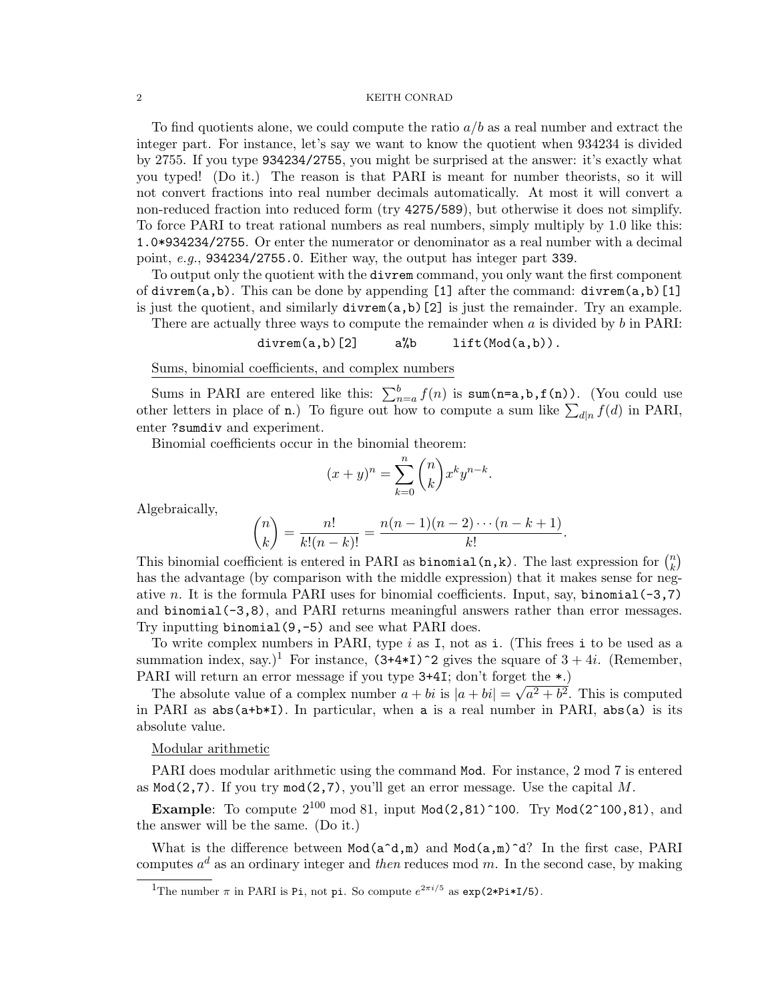### $\,$  2  $\,$   $\,$  KEITH CONRAD  $\,$

To find quotients alone, we could compute the ratio  $a/b$  as a real number and extract the integer part. For instance, let's say we want to know the quotient when 934234 is divided by 2755. If you type 934234/2755, you might be surprised at the answer: it's exactly what you typed! (Do it.) The reason is that PARI is meant for number theorists, so it will not convert fractions into real number decimals automatically. At most it will convert a non-reduced fraction into reduced form (try 4275/589), but otherwise it does not simplify. To force PARI to treat rational numbers as real numbers, simply multiply by 1.0 like this: 1.0\*934234/2755. Or enter the numerator or denominator as a real number with a decimal point, e.g., 934234/2755.0. Either way, the output has integer part 339.

To output only the quotient with the divrem command, you only want the first component of divrem(a,b). This can be done by appending [1] after the command: divrem(a,b)[1] is just the quotient, and similarly divrem(a,b)[2] is just the remainder. Try an example.

There are actually three ways to compute the remainder when  $a$  is divided by  $b$  in PARI:

 $divrem(a, b)$ [2]  $a''_b$  lift(Mod(a,b)).

Sums, binomial coefficients, and complex numbers

Sums in PARI are entered like this:  $\sum_{n=a}^{b} f(n)$  is sum(n=a,b,f(n)). (You could use other letters in place of **n**.) To figure out how to compute a sum like  $\sum_{d|n} f(d)$  in PARI, enter ?sumdiv and experiment.

Binomial coefficients occur in the binomial theorem:

$$
(x+y)^n = \sum_{k=0}^n \binom{n}{k} x^k y^{n-k}.
$$

Algebraically,

$$
\binom{n}{k} = \frac{n!}{k!(n-k)!} = \frac{n(n-1)(n-2)\cdots(n-k+1)}{k!}.
$$

This binomial coefficient is entered in PARI as **binomial** (n,k). The last expression for  $\binom{n}{k}$  $\binom{n}{k}$ has the advantage (by comparison with the middle expression) that it makes sense for negative n. It is the formula PARI uses for binomial coefficients. Input, say, binomial  $(-3,7)$ and binomial(-3,8), and PARI returns meaningful answers rather than error messages. Try inputting binomial(9,-5) and see what PARI does.

To write complex numbers in PARI, type  $i$  as I, not as i. (This frees i to be used as a summation index, say.)<sup>1</sup> For instance,  $(3+4*I)^2$  gives the square of  $3 + 4i$ . (Remember, PARI will return an error message if you type  $3+4I$ ; don't forget the  $\star$ .

The absolute value of a complex number  $a + bi$  is  $|a + bi| = \sqrt{a^2 + b^2}$ . This is computed in PARI as  $abs(a+b*I)$ . In particular, when a is a real number in PARI,  $abs(a)$  is its absolute value.

### Modular arithmetic

PARI does modular arithmetic using the command Mod. For instance, 2 mod 7 is entered as  $Mod(2,7)$ . If you try  $mod(2,7)$ , you'll get an error message. Use the capital M.

**Example:** To compute  $2^{100}$  mod 81, input Mod(2,81)<sup> $\text{100}$ . Try Mod(2 $\text{100,81}$ ), and</sup> the answer will be the same. (Do it.)

What is the difference between  $Mod(a^d, m)$  and  $Mod(a, m)^d$ ? In the first case, PARI computes  $a^d$  as an ordinary integer and then reduces mod m. In the second case, by making

<sup>&</sup>lt;sup>1</sup>The number  $\pi$  in PARI is Pi, not pi. So compute  $e^{2\pi i/5}$  as  $\exp(2*Pi*I/5)$ .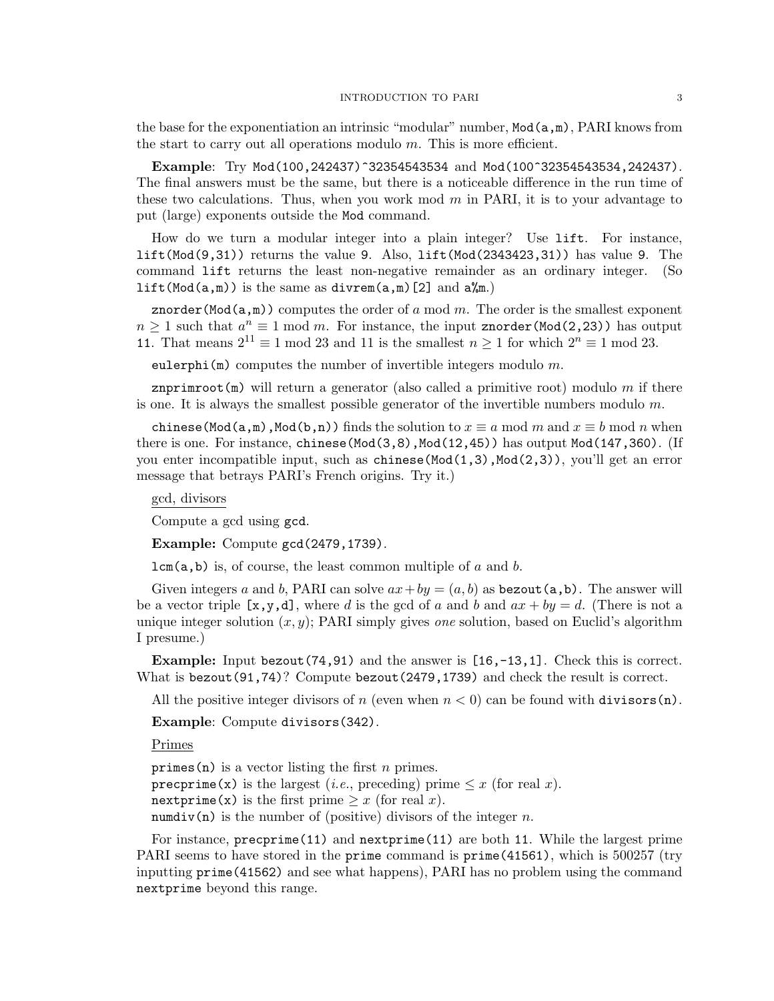the base for the exponentiation an intrinsic "modular" number,  $Mod(a,m)$ , PARI knows from the start to carry out all operations modulo  $m$ . This is more efficient.

Example: Try Mod(100,242437)^32354543534 and Mod(100^32354543534,242437). The final answers must be the same, but there is a noticeable difference in the run time of these two calculations. Thus, when you work mod  $m$  in PARI, it is to your advantage to put (large) exponents outside the Mod command.

How do we turn a modular integer into a plain integer? Use lift. For instance, lift(Mod(9,31)) returns the value 9. Also, lift(Mod(2343423,31)) has value 9. The command lift returns the least non-negative remainder as an ordinary integer. (So lift(Mod( $a,m$ )) is the same as divrem( $a,m$ )[2] and  $a\ll m$ .)

znorder(Mod( $a,m$ )) computes the order of a mod m. The order is the smallest exponent  $n \geq 1$  such that  $a^n \equiv 1 \mod m$ . For instance, the input znorder(Mod(2,23)) has output 11. That means  $2^{11} \equiv 1 \mod 23$  and 11 is the smallest  $n \ge 1$  for which  $2^n \equiv 1 \mod 23$ .

eulerphi(m) computes the number of invertible integers modulo  $m$ .

znprimroot(m) will return a generator (also called a primitive root) modulo  $m$  if there is one. It is always the smallest possible generator of the invertible numbers modulo  $m$ .

chinese(Mod(a,m),Mod(b,n)) finds the solution to  $x \equiv a \mod m$  and  $x \equiv b \mod n$  when there is one. For instance, chinese( $Mod(3,8)$ ,  $Mod(12,45)$ ) has output  $Mod(147,360)$ . (If you enter incompatible input, such as  $chinese(Mod(1,3),Mod(2,3))$ , you'll get an error message that betrays PARI's French origins. Try it.)

gcd, divisors

Compute a gcd using gcd.

Example: Compute gcd(2479,1739).

 $lcm(a,b)$  is, of course, the least common multiple of a and b.

Given integers a and b, PARI can solve  $ax+by = (a, b)$  as bezout  $(a, b)$ . The answer will be a vector triple  $[x,y,d]$ , where d is the gcd of a and b and  $ax + by = d$ . (There is not a unique integer solution  $(x, y)$ ; PARI simply gives *one* solution, based on Euclid's algorithm I presume.)

Example: Input bezout(74,91) and the answer is [16,-13,1]. Check this is correct. What is bezout  $(91,74)$ ? Compute bezout  $(2479,1739)$  and check the result is correct.

All the positive integer divisors of n (even when  $n < 0$ ) can be found with divisors (n).

Example: Compute divisors(342).

Primes

primes(n) is a vector listing the first *n* primes. precprime(x) is the largest (*i.e.*, preceding) prime  $\leq x$  (for real x). nextprime(x) is the first prime  $\geq x$  (for real x). numdiv(n) is the number of (positive) divisors of the integer n.

For instance, precprime(11) and nextprime(11) are both 11. While the largest prime PARI seems to have stored in the prime command is prime(41561), which is 500257 (try inputting prime(41562) and see what happens), PARI has no problem using the command nextprime beyond this range.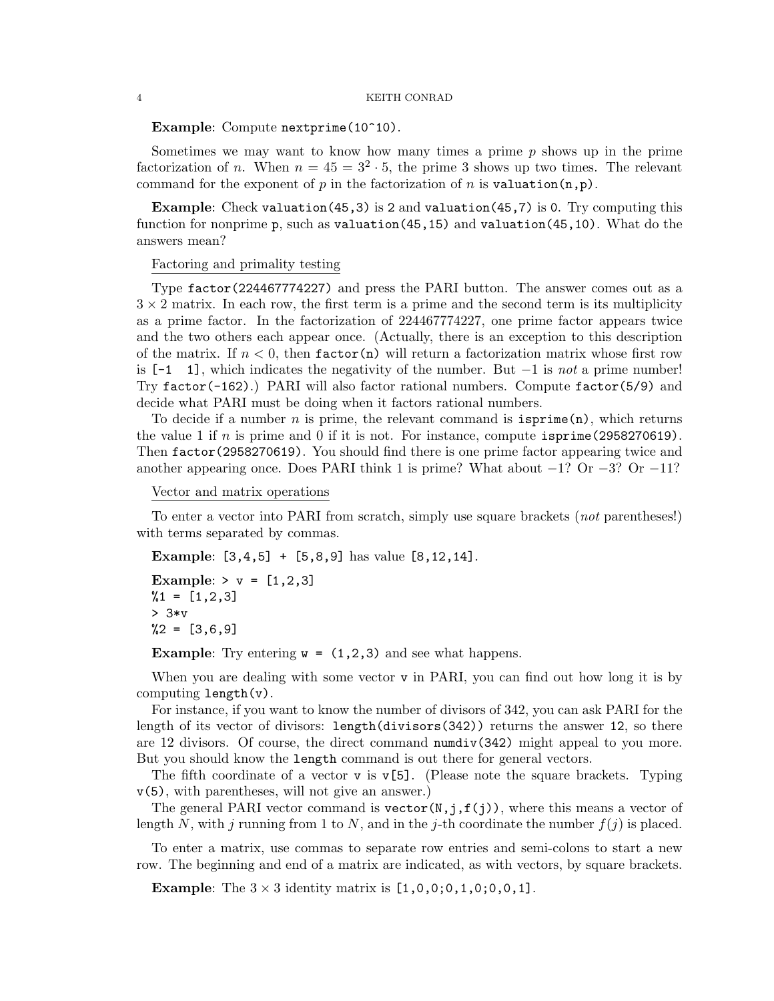#### 4 KEITH CONRAD

Example: Compute nextprime(10^10).

Sometimes we may want to know how many times a prime  $p$  shows up in the prime factorization of n. When  $n = 45 = 3^2 \cdot 5$ , the prime 3 shows up two times. The relevant command for the exponent of p in the factorization of n is valuation $(n,p)$ .

Example: Check valuation(45,3) is 2 and valuation(45,7) is 0. Try computing this function for nonprime p, such as valuation(45,15) and valuation(45,10). What do the answers mean?

### Factoring and primality testing

Type factor(224467774227) and press the PARI button. The answer comes out as a  $3 \times 2$  matrix. In each row, the first term is a prime and the second term is its multiplicity as a prime factor. In the factorization of 224467774227, one prime factor appears twice and the two others each appear once. (Actually, there is an exception to this description of the matrix. If  $n < 0$ , then factor(n) will return a factorization matrix whose first row is  $[-1 \ 1]$ , which indicates the negativity of the number. But  $-1$  is not a prime number! Try  $factor(-162)$ .) PARI will also factor rational numbers. Compute  $factor(5/9)$  and decide what PARI must be doing when it factors rational numbers.

To decide if a number n is prime, the relevant command is  $isprime(n)$ , which returns the value 1 if n is prime and 0 if it is not. For instance, compute  $i$ sprime(2958270619). Then factor(2958270619). You should find there is one prime factor appearing twice and another appearing once. Does PARI think 1 is prime? What about  $-1$ ? Or  $-3$ ? Or  $-11$ ?

## Vector and matrix operations

To enter a vector into PARI from scratch, simply use square brackets (not parentheses!) with terms separated by commas.

Example: [3,4,5] + [5,8,9] has value [8,12,14].

Example:  $> v = [1, 2, 3]$  $%1 = [1,2,3]$ > 3\*v  $\%2 = [3,6,9]$ 

**Example:** Try entering  $w = (1,2,3)$  and see what happens.

When you are dealing with some vector  $v$  in PARI, you can find out how long it is by computing length(v).

For instance, if you want to know the number of divisors of 342, you can ask PARI for the length of its vector of divisors: length(divisors(342)) returns the answer 12, so there are 12 divisors. Of course, the direct command numdiv(342) might appeal to you more. But you should know the length command is out there for general vectors.

The fifth coordinate of a vector v is  $v[5]$ . (Please note the square brackets. Typing v(5), with parentheses, will not give an answer.)

The general PARI vector command is vector(N,j,f(j)), where this means a vector of length N, with j running from 1 to N, and in the j-th coordinate the number  $f(j)$  is placed.

To enter a matrix, use commas to separate row entries and semi-colons to start a new row. The beginning and end of a matrix are indicated, as with vectors, by square brackets.

**Example:** The  $3 \times 3$  identity matrix is  $[1,0,0;0,1,0;0,0,1]$ .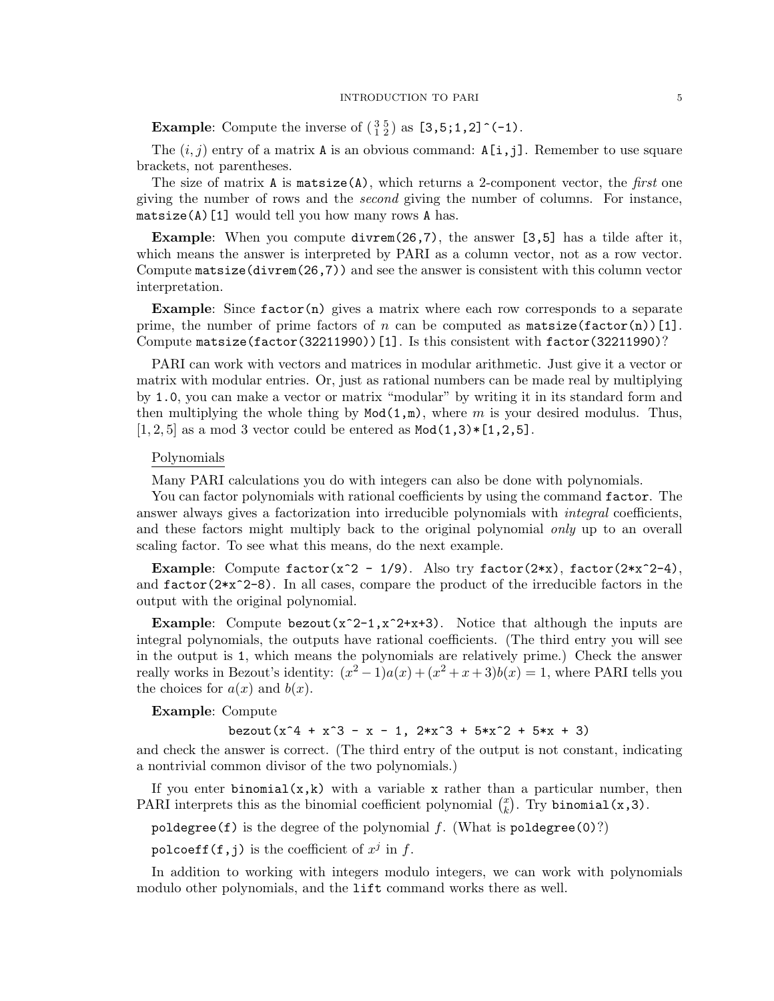**Example:** Compute the inverse of  $\begin{pmatrix} 3 & 5 \\ 1 & 2 \end{pmatrix}$  as  $\begin{bmatrix} 3 & 5 \\ 1 & 2 \end{bmatrix}$  (-1).

The  $(i, j)$  entry of a matrix A is an obvious command:  $A[i, j]$ . Remember to use square brackets, not parentheses.

The size of matrix A is matsize(A), which returns a 2-component vector, the *first* one giving the number of rows and the second giving the number of columns. For instance,  $\texttt{matsize(A)}$  [1] would tell you how many rows A has.

Example: When you compute divrem(26,7), the answer [3,5] has a tilde after it, which means the answer is interpreted by PARI as a column vector, not as a row vector. Compute  $\mathtt{matsize}(divrem(26,7))$  and see the answer is consistent with this column vector interpretation.

**Example:** Since  $factor(n)$  gives a matrix where each row corresponds to a separate prime, the number of prime factors of n can be computed as  $\texttt{matsize}(\texttt{factor}(n))[1].$ Compute matsize(factor(32211990))[1]. Is this consistent with factor(32211990)?

PARI can work with vectors and matrices in modular arithmetic. Just give it a vector or matrix with modular entries. Or, just as rational numbers can be made real by multiplying by 1.0, you can make a vector or matrix "modular" by writing it in its standard form and then multiplying the whole thing by  $Mod(1,m)$ , where m is your desired modulus. Thus,  $[1, 2, 5]$  as a mod 3 vector could be entered as  $Mod(1,3) * [1,2,5]$ .

## Polynomials

Many PARI calculations you do with integers can also be done with polynomials.

You can factor polynomials with rational coefficients by using the command factor. The answer always gives a factorization into irreducible polynomials with *integral* coefficients, and these factors might multiply back to the original polynomial *only* up to an overall scaling factor. To see what this means, do the next example.

**Example:** Compute  $factor(x^2 - 1/9)$ . Also try  $factor(2*x)$ ,  $factor(2*x^2-4)$ , and  $factor(2*x^2-8)$ . In all cases, compare the product of the irreducible factors in the output with the original polynomial.

**Example:** Compute bezout( $x^2-1$ , $x^2+x+3$ ). Notice that although the inputs are integral polynomials, the outputs have rational coefficients. (The third entry you will see in the output is 1, which means the polynomials are relatively prime.) Check the answer really works in Bezout's identity:  $(x^2 - 1)a(x) + (x^2 + x + 3)b(x) = 1$ , where PARI tells you the choices for  $a(x)$  and  $b(x)$ .

Example: Compute

bezout( $x^4 + x^3 - x - 1$ ,  $2*x^3 + 5*x^2 + 5*x + 3$ )

and check the answer is correct. (The third entry of the output is not constant, indicating a nontrivial common divisor of the two polynomials.)

If you enter binomial( $x, k$ ) with a variable x rather than a particular number, then PARI interprets this as the binomial coefficient polynomial  $\binom{x}{k}$  $\binom{x}{k}$ . Try binomial(x,3).

poldegree(f) is the degree of the polynomial  $f$ . (What is poldegree(0)?)

<code>polcoeff(f,j)</code> is the coefficient of  $x^j$  in  $f.$ 

In addition to working with integers modulo integers, we can work with polynomials modulo other polynomials, and the lift command works there as well.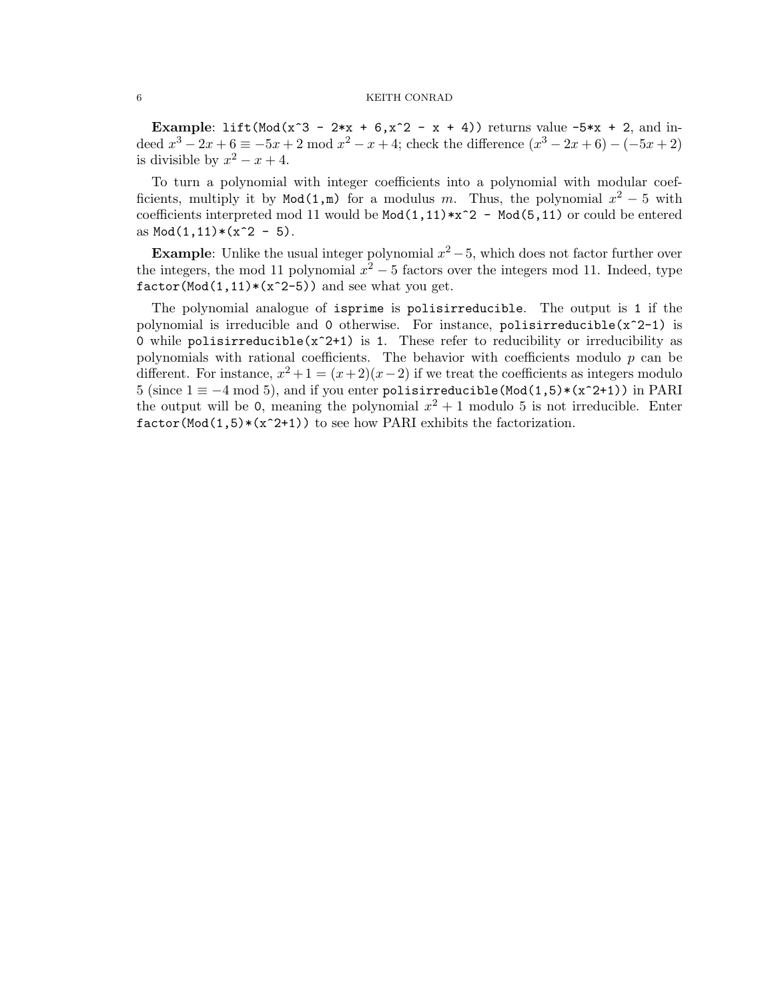#### 6 KEITH CONRAD

Example: lift(Mod(x^3 - 2\*x + 6,x^2 - x + 4)) returns value  $-5*x + 2$ , and indeed  $x^3 - 2x + 6 \equiv -5x + 2 \mod x^2 - x + 4$ ; check the difference  $(x^3 - 2x + 6) - (-5x + 2)$ is divisible by  $x^2 - x + 4$ .

To turn a polynomial with integer coefficients into a polynomial with modular coefficients, multiply it by Mod(1,m) for a modulus m. Thus, the polynomial  $x^2 - 5$  with coefficients interpreted mod 11 would be  $Mod(1,11)*x^2 - Mod(5,11)$  or could be entered as  $Mod(1, 11)*(x^2 - 5)$ .

**Example:** Unlike the usual integer polynomial  $x^2 - 5$ , which does not factor further over the integers, the mod 11 polynomial  $x^2 - 5$  factors over the integers mod 11. Indeed, type  $factor(Mod(1,11)*(x^2-5))$  and see what you get.

The polynomial analogue of isprime is polisirreducible. The output is 1 if the polynomial is irreducible and 0 otherwise. For instance,  $polisirreducible(x^2-1)$  is 0 while polisirreducible( $x^2+1$ ) is 1. These refer to reducibility or irreducibility as polynomials with rational coefficients. The behavior with coefficients modulo  $p$  can be different. For instance,  $x^2 + 1 = (x+2)(x-2)$  if we treat the coefficients as integers modulo 5 (since  $1 \equiv -4 \mod 5$ ), and if you enter polisirreducible(Mod(1,5)\*(x^2+1)) in PARI the output will be 0, meaning the polynomial  $x^2 + 1$  modulo 5 is not irreducible. Enter  $factor(Mod(1,5)*(x^2+1))$  to see how PARI exhibits the factorization.